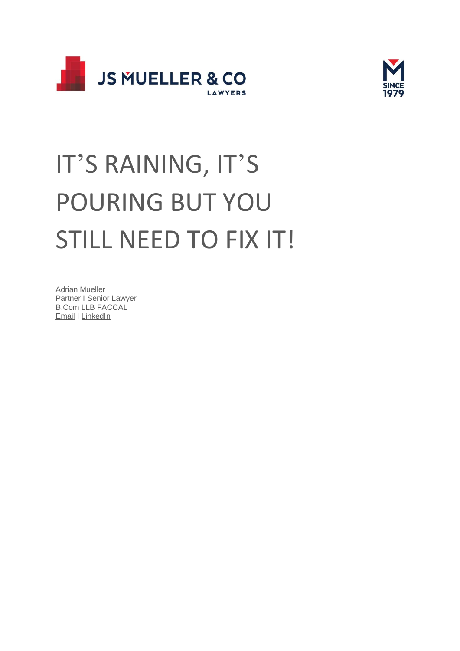



# IT'S RAINING, IT'S POURING BUT YOU STILL NEED TO FIX IT!

Adrian Mueller Partner I Senior Lawyer B.Com LLB FACCAL [Email](http://adrianmueller@muellers.com.au/) I [LinkedIn](https://www.linkedin.com/in/adriansmueller)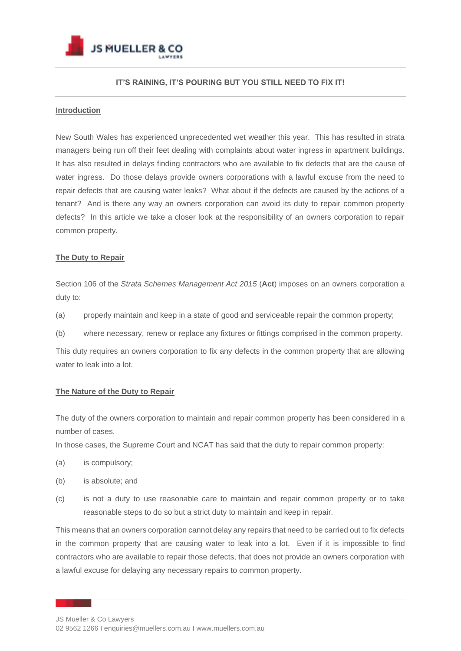

# **IT'S RAINING, IT'S POURING BUT YOU STILL NEED TO FIX IT!**

## **Introduction**

New South Wales has experienced unprecedented wet weather this year. This has resulted in strata managers being run off their feet dealing with complaints about water ingress in apartment buildings. It has also resulted in delays finding contractors who are available to fix defects that are the cause of water ingress. Do those delays provide owners corporations with a lawful excuse from the need to repair defects that are causing water leaks? What about if the defects are caused by the actions of a tenant? And is there any way an owners corporation can avoid its duty to repair common property defects? In this article we take a closer look at the responsibility of an owners corporation to repair common property.

## **The Duty to Repair**

Section 106 of the *Strata Schemes Management Act 2015* (**Act**) imposes on an owners corporation a duty to:

- (a) properly maintain and keep in a state of good and serviceable repair the common property;
- (b) where necessary, renew or replace any fixtures or fittings comprised in the common property.

This duty requires an owners corporation to fix any defects in the common property that are allowing water to leak into a lot.

# **The Nature of the Duty to Repair**

The duty of the owners corporation to maintain and repair common property has been considered in a number of cases.

In those cases, the Supreme Court and NCAT has said that the duty to repair common property:

- (a) is compulsory;
- (b) is absolute; and
- (c) is not a duty to use reasonable care to maintain and repair common property or to take reasonable steps to do so but a strict duty to maintain and keep in repair.

This means that an owners corporation cannot delay any repairs that need to be carried out to fix defects in the common property that are causing water to leak into a lot. Even if it is impossible to find contractors who are available to repair those defects, that does not provide an owners corporation with a lawful excuse for delaying any necessary repairs to common property.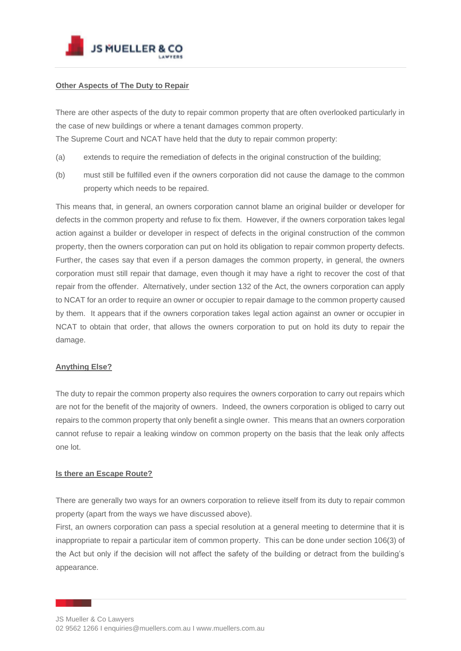

# **Other Aspects of The Duty to Repair**

There are other aspects of the duty to repair common property that are often overlooked particularly in the case of new buildings or where a tenant damages common property. The Supreme Court and NCAT have held that the duty to repair common property:

- (a) extends to require the remediation of defects in the original construction of the building;
- (b) must still be fulfilled even if the owners corporation did not cause the damage to the common property which needs to be repaired.

This means that, in general, an owners corporation cannot blame an original builder or developer for defects in the common property and refuse to fix them. However, if the owners corporation takes legal action against a builder or developer in respect of defects in the original construction of the common property, then the owners corporation can put on hold its obligation to repair common property defects. Further, the cases say that even if a person damages the common property, in general, the owners corporation must still repair that damage, even though it may have a right to recover the cost of that repair from the offender. Alternatively, under section 132 of the Act, the owners corporation can apply to NCAT for an order to require an owner or occupier to repair damage to the common property caused by them. It appears that if the owners corporation takes legal action against an owner or occupier in NCAT to obtain that order, that allows the owners corporation to put on hold its duty to repair the damage.

# **Anything Else?**

The duty to repair the common property also requires the owners corporation to carry out repairs which are not for the benefit of the majority of owners. Indeed, the owners corporation is obliged to carry out repairs to the common property that only benefit a single owner. This means that an owners corporation cannot refuse to repair a leaking window on common property on the basis that the leak only affects one lot.

#### **Is there an Escape Route?**

There are generally two ways for an owners corporation to relieve itself from its duty to repair common property (apart from the ways we have discussed above).

First, an owners corporation can pass a special resolution at a general meeting to determine that it is inappropriate to repair a particular item of common property. This can be done under section 106(3) of the Act but only if the decision will not affect the safety of the building or detract from the building's appearance.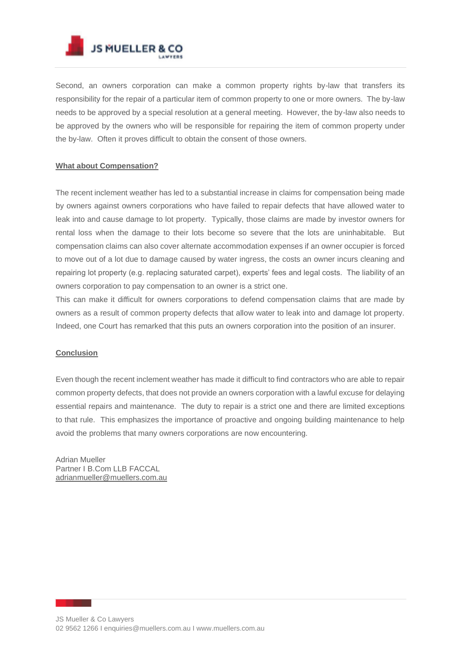

Second, an owners corporation can make a common property rights by-law that transfers its responsibility for the repair of a particular item of common property to one or more owners. The by-law needs to be approved by a special resolution at a general meeting. However, the by-law also needs to be approved by the owners who will be responsible for repairing the item of common property under the by-law. Often it proves difficult to obtain the consent of those owners.

## **What about Compensation?**

The recent inclement weather has led to a substantial increase in claims for compensation being made by owners against owners corporations who have failed to repair defects that have allowed water to leak into and cause damage to lot property. Typically, those claims are made by investor owners for rental loss when the damage to their lots become so severe that the lots are uninhabitable. But compensation claims can also cover alternate accommodation expenses if an owner occupier is forced to move out of a lot due to damage caused by water ingress, the costs an owner incurs cleaning and repairing lot property (e.g. replacing saturated carpet), experts' fees and legal costs. The liability of an owners corporation to pay compensation to an owner is a strict one.

This can make it difficult for owners corporations to defend compensation claims that are made by owners as a result of common property defects that allow water to leak into and damage lot property. Indeed, one Court has remarked that this puts an owners corporation into the position of an insurer.

#### **Conclusion**

Even though the recent inclement weather has made it difficult to find contractors who are able to repair common property defects, that does not provide an owners corporation with a lawful excuse for delaying essential repairs and maintenance. The duty to repair is a strict one and there are limited exceptions to that rule. This emphasizes the importance of proactive and ongoing building maintenance to help avoid the problems that many owners corporations are now encountering.

Adrian Mueller Partner I B.Com LLB FACCAL [adrianmueller@muellers.com.au](http://adrianmueller@muellers.com.au/)